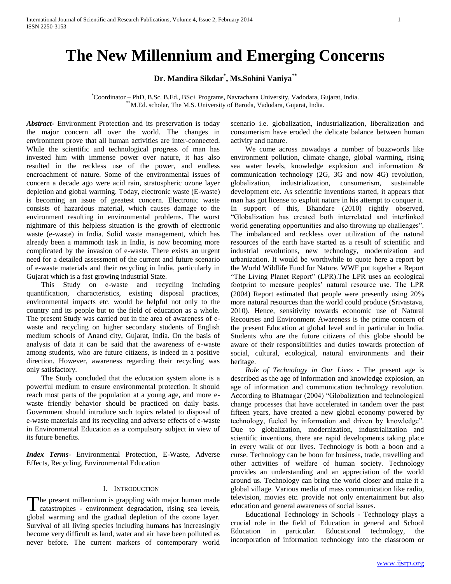# **The New Millennium and Emerging Concerns**

**Dr. Mandira Sikdar\* , Ms.Sohini Vaniya\*\***

\*Coordinator – PhD, B.Sc. B.Ed., BSc+ Programs, Navrachana University, Vadodara, Gujarat, India. \*\*M.Ed. scholar, The M.S. University of Baroda, Vadodara, Gujarat, India.

*Abstract***-** Environment Protection and its preservation is today the major concern all over the world. The changes in environment prove that all human activities are inter-connected. While the scientific and technological progress of man has invested him with immense power over nature, it has also resulted in the reckless use of the power, and endless encroachment of nature. Some of the environmental issues of concern a decade ago were acid rain, stratospheric ozone layer depletion and global warming. Today, electronic waste (E-waste) is becoming an issue of greatest concern. Electronic waste consists of hazardous material, which causes damage to the environment resulting in environmental problems. The worst nightmare of this helpless situation is the growth of electronic waste (e-waste) in India. Solid waste management, which has already been a mammoth task in India, is now becoming more complicated by the invasion of e-waste. There exists an urgent need for a detailed assessment of the current and future scenario of e-waste materials and their recycling in India, particularly in Gujarat which is a fast growing industrial State.

 This Study on e-waste and recycling including quantification, characteristics, existing disposal practices, environmental impacts etc. would be helpful not only to the country and its people but to the field of education as a whole. The present Study was carried out in the area of awareness of ewaste and recycling on higher secondary students of English medium schools of Anand city, Gujarat, India. On the basis of analysis of data it can be said that the awareness of e-waste among students, who are future citizens, is indeed in a positive direction. However, awareness regarding their recycling was only satisfactory.

 The Study concluded that the education system alone is a powerful medium to ensure environmental protection. It should reach most parts of the population at a young age, and more ewaste friendly behavior should be practiced on daily basis. Government should introduce such topics related to disposal of e-waste materials and its recycling and adverse effects of e-waste in Environmental Education as a compulsory subject in view of its future benefits.

*Index Terms*- Environmental Protection, E-Waste, Adverse Effects, Recycling, Environmental Education

### I. INTRODUCTION

The present millennium is grappling with major human made The present millennium is grappling with major human made<br>catastrophes - environment degradation, rising sea levels, global warming and the gradual depletion of the ozone layer. Survival of all living species including humans has increasingly become very difficult as land, water and air have been polluted as never before. The current markers of contemporary world

scenario i.e. globalization, industrialization, liberalization and consumerism have eroded the delicate balance between human activity and nature.

 We come across nowadays a number of buzzwords like environment pollution, climate change, global warming, rising sea water levels, knowledge explosion and information & communication technology (2G, 3G and now 4G) revolution, globalization, industrialization, consumerism, sustainable development etc. As scientific inventions started, it appears that man has got license to exploit nature in his attempt to conquer it. In support of this, Bhandare (2010) rightly observed, "Globalization has created both interrelated and interlinked world generating opportunities and also throwing up challenges". The imbalanced and reckless over utilization of the natural resources of the earth have started as a result of scientific and industrial revolutions, new technology, modernization and urbanization. It would be worthwhile to quote here a report by the World Wildlife Fund for Nature. WWF put together a Report "The Living Planet Report" (LPR).The LPR uses an ecological footprint to measure peoples' natural resource use. The LPR (2004) Report estimated that people were presently using 20 more natural resources than the world could produce (Srivastava, 2010). Hence, sensitivity towards economic use of Natural Recourses and Environment Awareness is the prime concern of the present Education at global level and in particular in India. Students who are the future citizens of this globe should be aware of their responsibilities and duties towards protection of social, cultural, ecological, natural environments and their heritage.

 *Role of Technology in Our Lives -* The present age is described as the age of information and knowledge explosion, an age of information and communication technology revolution. According to Bhatnagar (2004) "Globalization and technological change processes that have accelerated in tandem over the past fifteen years, have created a new global economy powered by technology, fueled by information and driven by knowledge". Due to globalization, modernization, industrialization and scientific inventions, there are rapid developments taking place in every walk of our lives. Technology is both a boon and a curse. Technology can be boon for business, trade, travelling and other activities of welfare of human society. Technology provides an understanding and an appreciation of the world around us. Technology can bring the world closer and make it a global village. Various media of mass communication like radio, television, movies etc. provide not only entertainment but also education and general awareness of social issues.

 Educational Technology in Schools - Technology plays a crucial role in the field of Education in general and School Education in particular. Educational technology, the incorporation of information technology into the classroom or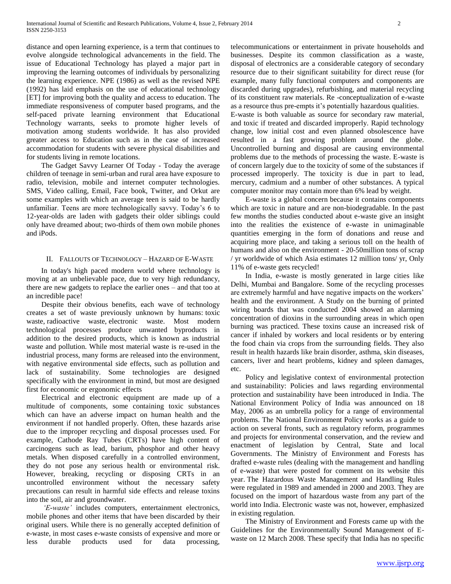distance and open learning experience, is a term that continues to evolve alongside technological advancements in the field. The issue of Educational Technology has played a major part in improving the learning outcomes of individuals by personalizing the learning experience. NPE (1986) as well as the revised NPE (1992) has laid emphasis on the use of educational technology [ET] for improving both the quality and access to education. The immediate responsiveness of computer based programs, and the self-paced private learning environment that Educational Technology warrants, seeks to promote higher levels of motivation among students worldwide. It has also provided greater access to Education such as in the case of increased accommodation for students with severe physical disabilities and for students living in remote locations.

 The Gadget Savvy Learner Of Today - Today the average children of teenage in semi-urban and rural area have exposure to radio, television, mobile and internet computer technologies. SMS, Video calling, Email, Face book, Twitter, and Orkut are some examples with which an average teen is said to be hardly unfamiliar. Teens are more technologically savvy. Today's 6 to 12-year-olds are laden with gadgets their older siblings could only have dreamed about; two-thirds of them own mobile phones and iPods.

# II. FALLOUTS OF TECHNOLOGY – HAZARD OF E-WASTE

 In today's high paced modern world where technology is moving at an unbelievable pace, due to very high redundancy, there are new gadgets to replace the earlier ones – and that too at an incredible pace!

 Despite their obvious benefits, each wave of technology creates a set of waste previously unknown by humans: toxic waste, radioactive waste, electronic waste. Most modern technological processes produce unwanted byproducts in addition to the desired products, which is known as industrial waste and pollution. While most material waste is re-used in the industrial process, many forms are released into the environment, with negative environmental side effects, such as pollution and lack of sustainability. Some technologies are designed specifically with the environment in mind, but most are designed first for economic or ergonomic effects

 Electrical and electronic equipment are made up of a multitude of components, some containing toxic substances which can have an adverse impact on human health and the environment if not handled properly. Often, these hazards arise due to the improper recycling and disposal processes used. For example, Cathode Ray Tubes (CRTs) have high content of carcinogens such as lead, barium, phosphor and other heavy metals. When disposed carefully in a controlled environment, they do not pose any serious health or environmental risk. However, breaking, recycling or disposing CRTs in an uncontrolled environment without the necessary safety precautions can result in harmful side effects and release toxins into the soil, air and groundwater.

 *'E-waste'* includes computers, entertainment electronics, mobile phones and other items that have been discarded by their original users. While there is no generally accepted definition of e-waste, in most cases e-waste consists of expensive and more or less durable products used for data processing,

telecommunications or entertainment in private households and businesses. Despite its common classification as a waste, disposal of electronics are a considerable category of secondary resource due to their significant suitability for direct reuse (for example, many fully functional computers and components are discarded during upgrades), refurbishing, and material recycling of its constituent raw materials. Re -conceptualization of e-waste as a resource thus pre-empts it's potentially hazardous qualities.

E-waste is both valuable as source for secondary raw material, and toxic if treated and discarded improperly. Rapid technology change, low initial cost and even planned obsolescence have resulted in a fast growing problem around the globe. Uncontrolled burning and disposal are causing environmental problems due to the methods of processing the waste. E-waste is of concern largely due to the toxicity of some of the substances if processed improperly. The toxicity is due in part to lead, mercury, cadmium and a number of other substances. A typical computer monitor may contain more than 6% lead by weight.

 E-waste is a global concern because it contains components which are toxic in nature and are non-biodegradable. In the past few months the studies conducted about e-waste give an insight into the realities the existence of e-waste in unimaginable quantities emerging in the form of donations and reuse and acquiring more place, and taking a serious toll on the health of humans and also on the environment - 20-50million tons of scrap / yr worldwide of which Asia estimates 12 million tons/ yr, Only 11% of e-waste gets recycled!

 In India, e-waste is mostly generated in large cities like Delhi, Mumbai and Bangalore. Some of the recycling processes are extremely harmful and have negative impacts on the workers' health and the environment. A Study on the burning of printed wiring boards that was conducted 2004 showed an alarming concentration of dioxins in the surrounding areas in which open burning was practiced. These toxins cause an increased risk of cancer if inhaled by workers and local residents or by entering the food chain via crops from the surrounding fields. They also result in health hazards like brain disorder, asthma, skin diseases, cancers, liver and heart problems, kidney and spleen damages, etc.

 Policy and legislative context of environmental protection and sustainability: Policies and laws regarding environmental protection and sustainability have been introduced in India. The National Environment Policy of India was announced on 18 May, 2006 as an umbrella policy for a range of environmental problems. The National Environment Policy works as a guide to action on several fronts, such as regulatory reform, programmes and projects for environmental conservation, and the review and enactment of legislation by Central, State and local Governments. The Ministry of Environment and Forests has drafted e-waste rules (dealing with the management and handling of e-waste) that were posted for comment on its website this year. The Hazardous Waste Management and Handling Rules were regulated in 1989 and amended in 2000 and 2003. They are focused on the import of hazardous waste from any part of the world into India. Electronic waste was not, however, emphasized in existing regulation.

 The Ministry of Environment and Forests came up with the Guidelines for the Environmentally Sound Management of Ewaste on 12 March 2008. These specify that India has no specific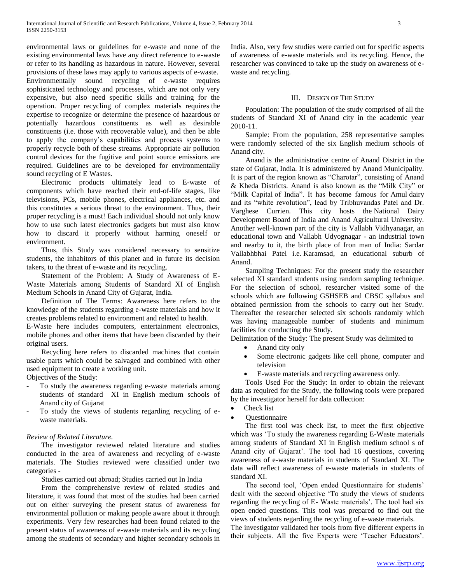environmental laws or guidelines for e-waste and none of the existing environmental laws have any direct reference to e-waste or refer to its handling as hazardous in nature. However, several provisions of these laws may apply to various aspects of e-waste. Environmentally sound recycling of e-waste requires sophisticated technology and processes, which are not only very expensive, but also need specific skills and training for the operation. Proper recycling of complex materials requires the expertise to recognize or determine the presence of hazardous or potentially hazardous constituents as well as desirable constituents (i.e. those with recoverable value), and then be able to apply the company's capabilities and process systems to properly recycle both of these streams. Appropriate air pollution control devices for the fugitive and point source emissions are required. Guidelines are to be developed for environmentally sound recycling of E Wastes.

 Electronic products ultimately lead to E-waste of components which have reached their end-of-life stages, like televisions, PCs, mobile phones, electrical appliances, etc. and this constitutes a serious threat to the environment. Thus, their proper recycling is a must! Each individual should not only know how to use such latest electronics gadgets but must also know how to discard it properly without harming oneself or environment.

 Thus, this Study was considered necessary to sensitize students, the inhabitors of this planet and in future its decision takers, to the threat of e-waste and its recycling.

 Statement of the Problem: A Study of Awareness of E-Waste Materials among Students of Standard XI of English Medium Schools in Anand City of Gujarat, India.

 Definition of The Terms: Awareness here refers to the knowledge of the students regarding e-waste materials and how it creates problems related to environment and related to health.

E-Waste here includes computers, entertainment electronics, mobile phones and other items that have been discarded by their original users.

 Recycling here refers to discarded machines that contain usable parts which could be salvaged and combined with other used equipment to create a working unit.

Objectives of the Study:

- To study the awareness regarding e-waste materials among students of standard XI in English medium schools of Anand city of Gujarat
- To study the views of students regarding recycling of ewaste materials.

### *Review of Related Literature.*

 The investigator reviewed related literature and studies conducted in the area of awareness and recycling of e-waste materials. The Studies reviewed were classified under two categories -

Studies carried out abroad; Studies carried out In India

 From the comprehensive review of related studies and literature, it was found that most of the studies had been carried out on either surveying the present status of awareness for environmental pollution or making people aware about it through experiments. Very few researches had been found related to the present status of awareness of e-waste materials and its recycling among the students of secondary and higher secondary schools in

India. Also, very few studies were carried out for specific aspects of awareness of e-waste materials and its recycling. Hence, the researcher was convinced to take up the study on awareness of ewaste and recycling.

## III. DESIGN OF THE STUDY

 Population: The population of the study comprised of all the students of Standard XI of Anand city in the academic year 2010-11.

 Sample: From the population, 258 representative samples were randomly selected of the six English medium schools of Anand city.

 Anand is the administrative centre of Anand District in the state of Gujarat, India. It is administered by Anand Municipality. It is part of the region known as "Charotar", consisting of Anand & Kheda Districts. Anand is also known as the "Milk City" or "Milk Capital of India". It has become famous for Amul dairy and its "white revolution", lead by Tribhuvandas Patel and Dr. Varghese Currien. This city hosts the National Dairy Development Board of India and Anand Agricultural University. Another well-known part of the city is Vallabh Vidhyanagar, an educational town and Vallabh Udyognagar - an industrial town and nearby to it, the birth place of Iron man of India: Sardar Vallabhbhai Patel i.e. Karamsad, an educational suburb of Anand.

 Sampling Techniques: For the present study the researcher selected XI standard students using random sampling technique. For the selection of school, researcher visited some of the schools which are following GSHSEB and CBSC syllabus and obtained permission from the schools to carry out her Study. Thereafter the researcher selected six schools randomly which was having manageable number of students and minimum facilities for conducting the Study.

Delimitation of the Study: The present Study was delimited to

- Anand city only
- Some electronic gadgets like cell phone, computer and television
- E-waste materials and recycling awareness only.

 Tools Used For the Study: In order to obtain the relevant data as required for the Study, the following tools were prepared by the investigator herself for data collection:

- Check list
- **Ouestionnaire**

 The first tool was check list, to meet the first objective which was 'To study the awareness regarding E-Waste materials among students of Standard XI in English medium school s of Anand city of Gujarat'. The tool had 16 questions, covering awareness of e-waste materials in students of Standard XI. The data will reflect awareness of e-waste materials in students of standard XI.

 The second tool, 'Open ended Questionnaire for students' dealt with the second objective 'To study the views of students regarding the recycling of E- Waste materials'. The tool had six open ended questions. This tool was prepared to find out the views of students regarding the recycling of e-waste materials.

The investigator validated her tools from five different experts in their subjects. All the five Experts were 'Teacher Educators'.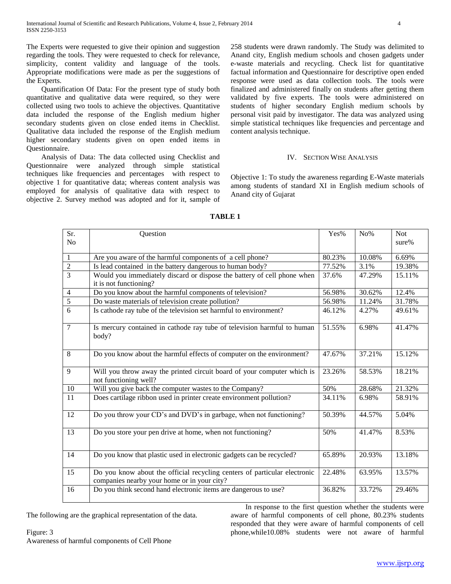The Experts were requested to give their opinion and suggestion regarding the tools. They were requested to check for relevance, simplicity, content validity and language of the tools. Appropriate modifications were made as per the suggestions of the Experts.

 Quantification Of Data: For the present type of study both quantitative and qualitative data were required, so they were collected using two tools to achieve the objectives. Quantitative data included the response of the English medium higher secondary students given on close ended items in Checklist. Qualitative data included the response of the English medium higher secondary students given on open ended items in Questionnaire.

 Analysis of Data: The data collected using Checklist and Questionnaire were analyzed through simple statistical techniques like frequencies and percentages with respect to objective 1 for quantitative data; whereas content analysis was employed for analysis of qualitative data with respect to objective 2. Survey method was adopted and for it, sample of 258 students were drawn randomly. The Study was delimited to Anand city, English medium schools and chosen gadgets under e-waste materials and recycling. Check list for quantitative factual information and Questionnaire for descriptive open ended response were used as data collection tools. The tools were finalized and administered finally on students after getting them validated by five experts. The tools were administered on students of higher secondary English medium schools by personal visit paid by investigator. The data was analyzed using simple statistical techniques like frequencies and percentage and content analysis technique.

# IV. SECTION WISE ANALYSIS

Objective 1: To study the awareness regarding E-Waste materials among students of standard XI in English medium schools of Anand city of Gujarat

| Sr.            | Question                                                                                                                 | Yes%   | $No\%$ | <b>Not</b> |
|----------------|--------------------------------------------------------------------------------------------------------------------------|--------|--------|------------|
| N <sub>o</sub> |                                                                                                                          |        |        | $sure\%$   |
| $\mathbf{1}$   | Are you aware of the harmful components of a cell phone?                                                                 | 80.23% | 10.08% | 6.69%      |
| $\overline{2}$ | Is lead contained in the battery dangerous to human body?                                                                | 77.52% | 3.1%   | 19.38%     |
| $\overline{3}$ | Would you immediately discard or dispose the battery of cell phone when                                                  | 37.6%  | 47.29% | 15.11%     |
|                | it is not functioning?                                                                                                   |        |        |            |
| $\overline{4}$ | Do you know about the harmful components of television?                                                                  | 56.98% | 30.62% | 12.4%      |
| $\overline{5}$ | Do waste materials of television create pollution?                                                                       | 56.98% | 11.24% | 31.78%     |
| 6              | Is cathode ray tube of the television set harmful to environment?                                                        | 46.12% | 4.27%  | 49.61%     |
| $\overline{7}$ | Is mercury contained in cathode ray tube of television harmful to human                                                  | 51.55% | 6.98%  | 41.47%     |
|                | body?                                                                                                                    |        |        |            |
| 8              | Do you know about the harmful effects of computer on the environment?                                                    | 47.67% | 37.21% | 15.12%     |
|                |                                                                                                                          |        |        |            |
| 9              | Will you throw away the printed circuit board of your computer which is<br>not functioning well?                         | 23.26% | 58.53% | 18.21%     |
| 10             | Will you give back the computer wastes to the Company?                                                                   | 50%    | 28.68% | 21.32%     |
| 11             | Does cartilage ribbon used in printer create environment pollution?                                                      | 34.11% | 6.98%  | 58.91%     |
| 12             | Do you throw your CD's and DVD's in garbage, when not functioning?                                                       | 50.39% | 44.57% | 5.04%      |
| 13             | Do you store your pen drive at home, when not functioning?                                                               | 50%    | 41.47% | 8.53%      |
| 14             | Do you know that plastic used in electronic gadgets can be recycled?                                                     | 65.89% | 20.93% | 13.18%     |
| 15             | Do you know about the official recycling centers of particular electronic<br>companies nearby your home or in your city? | 22.48% | 63.95% | 13.57%     |
| 16             | Do you think second hand electronic items are dangerous to use?                                                          | 36.82% | 33.72% | 29.46%     |

### **TABLE 1**

The following are the graphical representation of the data.

 In response to the first question whether the students were aware of harmful components of cell phone, 80.23% students responded that they were aware of harmful components of cell phone,while10.08% students were not aware of harmful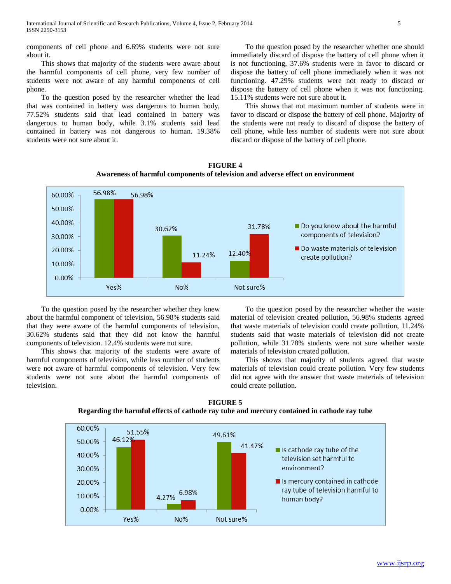components of cell phone and 6.69% students were not sure about it.

 This shows that majority of the students were aware about the harmful components of cell phone, very few number of students were not aware of any harmful components of cell phone.

 To the question posed by the researcher whether the lead that was contained in battery was dangerous to human body, 77.52% students said that lead contained in battery was dangerous to human body, while 3.1% students said lead contained in battery was not dangerous to human. 19.38% students were not sure about it.

 To the question posed by the researcher whether one should immediately discard of dispose the battery of cell phone when it is not functioning, 37.6% students were in favor to discard or dispose the battery of cell phone immediately when it was not functioning. 47.29% students were not ready to discard or dispose the battery of cell phone when it was not functioning. 15.11% students were not sure about it.

 This shows that not maximum number of students were in favor to discard or dispose the battery of cell phone. Majority of the students were not ready to discard of dispose the battery of cell phone, while less number of students were not sure about discard or dispose of the battery of cell phone.



**FIGURE 4 Awareness of harmful components of television and adverse effect on environment**

 To the question posed by the researcher whether they knew about the harmful component of television, 56.98% students said that they were aware of the harmful components of television, 30.62% students said that they did not know the harmful components of television. 12.4% students were not sure.

 This shows that majority of the students were aware of harmful components of television, while less number of students were not aware of harmful components of television. Very few students were not sure about the harmful components of television.

 To the question posed by the researcher whether the waste material of television created pollution, 56.98% students agreed that waste materials of television could create pollution, 11.24% students said that waste materials of television did not create pollution, while 31.78% students were not sure whether waste materials of television created pollution.

 This shows that majority of students agreed that waste materials of television could create pollution. Very few students did not agree with the answer that waste materials of television could create pollution.

**FIGURE 5 Regarding the harmful effects of cathode ray tube and mercury contained in cathode ray tube**

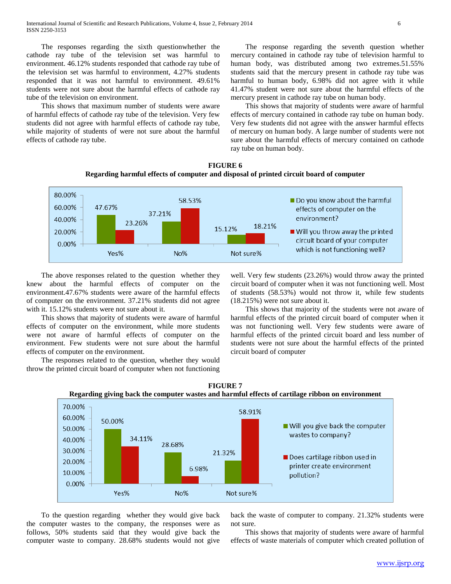The responses regarding the sixth questionwhether the cathode ray tube of the television set was harmful to environment. 46.12% students responded that cathode ray tube of the television set was harmful to environment, 4.27% students responded that it was not harmful to environment. 49.61% students were not sure about the harmful effects of cathode ray tube of the television on environment.

 This shows that maximum number of students were aware of harmful effects of cathode ray tube of the television. Very few students did not agree with harmful effects of cathode ray tube, while majority of students of were not sure about the harmful effects of cathode ray tube.

 The response regarding the seventh question whether mercury contained in cathode ray tube of television harmful to human body, was distributed among two extremes.51.55% students said that the mercury present in cathode ray tube was harmful to human body, 6.98% did not agree with it while 41.47% student were not sure about the harmful effects of the mercury present in cathode ray tube on human body.

 This shows that majority of students were aware of harmful effects of mercury contained in cathode ray tube on human body. Very few students did not agree with the answer harmful effects of mercury on human body. A large number of students were not sure about the harmful effects of mercury contained on cathode ray tube on human body.





 The above responses related to the question whether they knew about the harmful effects of computer on the environment.47.67% students were aware of the harmful effects of computer on the environment. 37.21% students did not agree with it. 15.12% students were not sure about it.

 This shows that majority of students were aware of harmful effects of computer on the environment, while more students were not aware of harmful effects of computer on the environment. Few students were not sure about the harmful effects of computer on the environment.

 The responses related to the question, whether they would throw the printed circuit board of computer when not functioning

well. Very few students (23.26%) would throw away the printed circuit board of computer when it was not functioning well. Most of students (58.53%) would not throw it, while few students (18.215%) were not sure about it.

 This shows that majority of the students were not aware of harmful effects of the printed circuit board of computer when it was not functioning well. Very few students were aware of harmful effects of the printed circuit board and less number of students were not sure about the harmful effects of the printed circuit board of computer



**FIGURE 7 Regarding giving back the computer wastes and harmful effects of cartilage ribbon on environment**

 To the question regarding whether they would give back the computer wastes to the company, the responses were as follows, 50% students said that they would give back the computer waste to company. 28.68% students would not give back the waste of computer to company. 21.32% students were not sure.

 This shows that majority of students were aware of harmful effects of waste materials of computer which created pollution of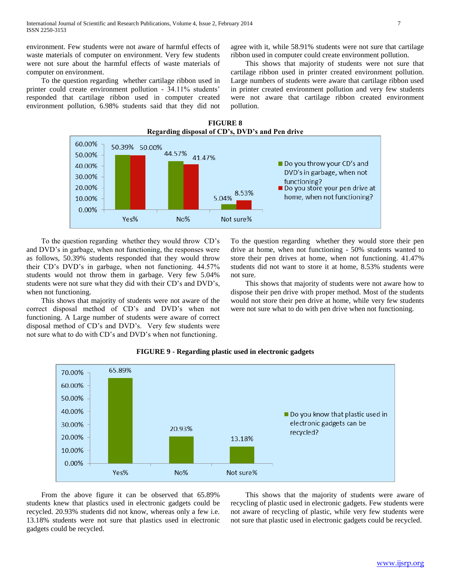environment. Few students were not aware of harmful effects of waste materials of computer on environment. Very few students were not sure about the harmful effects of waste materials of computer on environment.

 To the question regarding whether cartilage ribbon used in printer could create environment pollution - 34.11% students' responded that cartilage ribbon used in computer created environment pollution, 6.98% students said that they did not agree with it, while 58.91% students were not sure that cartilage ribbon used in computer could create environment pollution.

 This shows that majority of students were not sure that cartilage ribbon used in printer created environment pollution. Large numbers of students were aware that cartilage ribbon used in printer created environment pollution and very few students were not aware that cartilage ribbon created environment pollution.





 To the question regarding whether they would throw CD's and DVD's in garbage, when not functioning, the responses were as follows, 50.39% students responded that they would throw their CD's DVD's in garbage, when not functioning. 44.57% students would not throw them in garbage. Very few 5.04% students were not sure what they did with their CD's and DVD's, when not functioning.

 This shows that majority of students were not aware of the correct disposal method of CD's and DVD's when not functioning. A Large number of students were aware of correct disposal method of CD's and DVD's. Very few students were not sure what to do with CD's and DVD's when not functioning.

To the question regarding whether they would store their pen drive at home, when not functioning - 50% students wanted to store their pen drives at home, when not functioning. 41.47% students did not want to store it at home, 8.53% students were not sure.

 This shows that majority of students were not aware how to dispose their pen drive with proper method. Most of the students would not store their pen drive at home, while very few students were not sure what to do with pen drive when not functioning.



# **FIGURE 9 - Regarding plastic used in electronic gadgets**

 From the above figure it can be observed that 65.89% students knew that plastics used in electronic gadgets could be recycled. 20.93% students did not know, whereas only a few i.e. 13.18% students were not sure that plastics used in electronic gadgets could be recycled.

 This shows that the majority of students were aware of recycling of plastic used in electronic gadgets. Few students were not aware of recycling of plastic, while very few students were not sure that plastic used in electronic gadgets could be recycled.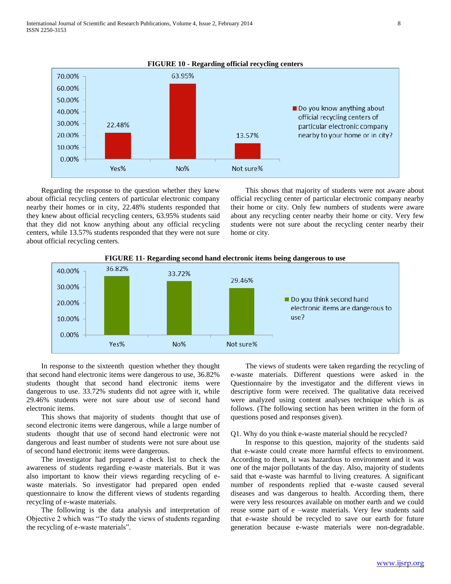

 Regarding the response to the question whether they knew about official recycling centers of particular electronic company nearby their homes or in city, 22.48% students responded that they knew about official recycling centers, 63.95% students said that they did not know anything about any official recycling centers, while 13.57% students responded that they were not sure about official recycling centers.

 This shows that majority of students were not aware about official recycling center of particular electronic company nearby their home or city. Only few numbers of students were aware about any recycling center nearby their home or city. Very few students were not sure about the recycling center nearby their home or city.



**FIGURE 11- Regarding second hand electronic items being dangerous to use**

 In response to the sixteenth question whether they thought that second hand electronic items were dangerous to use, 36.82% students thought that second hand electronic items were dangerous to use. 33.72% students did not agree with it, while 29.46% students were not sure about use of second hand electronic items.

 This shows that majority of students thought that use of second electronic items were dangerous, while a large number of students thought that use of second hand electronic were not dangerous and least number of students were not sure about use of second hand electronic items were dangerous.

 The investigator had prepared a check list to check the awareness of students regarding e-waste materials. But it was also important to know their views regarding recycling of ewaste materials. So investigator had prepared open ended questionnaire to know the different views of students regarding recycling of e-waste materials.

 The following is the data analysis and interpretation of Objective 2 which was "To study the views of students regarding the recycling of e-waste materials".

 The views of students were taken regarding the recycling of e-waste materials. Different questions were asked in the Questionnaire by the investigator and the different views in descriptive form were received. The qualitative data received were analyzed using content analyses technique which is as follows. (The following section has been written in the form of questions posed and responses given).

# Q1. Why do you think e-waste material should be recycled?

 In response to this question, majority of the students said that e-waste could create more harmful effects to environment. According to them, it was hazardous to environment and it was one of the major pollutants of the day. Also, majority of students said that e-waste was harmful to living creatures. A significant number of respondents replied that e-waste caused several diseases and was dangerous to health. According them, there were very less resources available on mother earth and we could reuse some part of e –waste materials. Very few students said that e-waste should be recycled to save our earth for future generation because e-waste materials were non-degradable.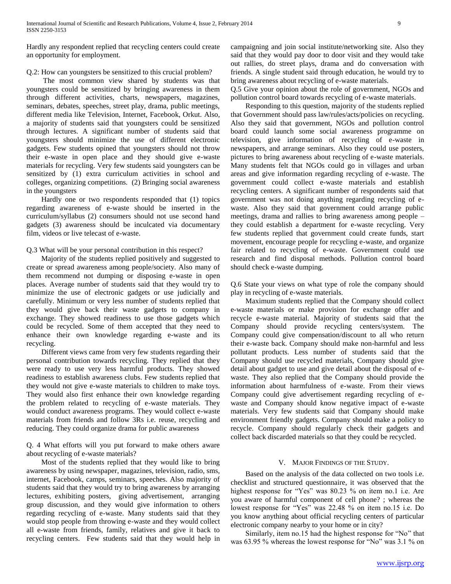Hardly any respondent replied that recycling centers could create an opportunity for employment.

# Q.2: How can youngsters be sensitized to this crucial problem?

 The most common view shared by students was that youngsters could be sensitized by bringing awareness in them through different activities, charts, newspapers, magazines, seminars, debates, speeches, street play, drama, public meetings, different media like Television, Internet, Facebook, Orkut. Also, a majority of students said that youngsters could be sensitized through lectures. A significant number of students said that youngsters should minimize the use of different electronic gadgets. Few students opined that youngsters should not throw their e-waste in open place and they should give e-waste materials for recycling. Very few students said youngsters can be sensitized by (1) extra curriculum activities in school and colleges, organizing competitions. (2) Bringing social awareness in the youngsters

 Hardly one or two respondents responded that (1) topics regarding awareness of e-waste should be inserted in the curriculum/syllabus (2) consumers should not use second hand gadgets (3) awareness should be inculcated via documentary film, videos or live telecast of e-waste.

# Q.3 What will be your personal contribution in this respect?

 Majority of the students replied positively and suggested to create or spread awareness among people/society. Also many of them recommend not dumping or disposing e-waste in open places. Average number of students said that they would try to minimize the use of electronic gadgets or use judicially and carefully. Minimum or very less number of students replied that they would give back their waste gadgets to company in exchange. They showed readiness to use those gadgets which could be recycled. Some of them accepted that they need to enhance their own knowledge regarding e-waste and its recycling.

 Different views came from very few students regarding their personal contribution towards recycling. They replied that they were ready to use very less harmful products. They showed readiness to establish awareness clubs. Few students replied that they would not give e-waste materials to children to make toys. They would also first enhance their own knowledge regarding the problem related to recycling of e-waste materials. They would conduct awareness programs. They would collect e-waste materials from friends and follow 3Rs i.e. reuse, recycling and reducing. They could organize drama for public awareness

Q. 4 What efforts will you put forward to make others aware about recycling of e-waste materials?

 Most of the students replied that they would like to bring awareness by using newspaper, magazines, television, radio, sms, internet, Facebook, camps, seminars, speeches. Also majority of students said that they would try to bring awareness by arranging lectures, exhibiting posters, giving advertisement, arranging group discussion, and they would give information to others regarding recycling of e-waste. Many students said that they would stop people from throwing e-waste and they would collect all e-waste from friends, family, relatives and give it back to recycling centers. Few students said that they would help in campaigning and join social institute/networking site. Also they said that they would pay door to door visit and they would take out rallies, do street plays, drama and do conversation with friends. A single student said through education, he would try to bring awareness about recycling of e-waste materials.

Q.5 Give your opinion about the role of government, NGOs and pollution control board towards recycling of e-waste materials.

 Responding to this question, majority of the students replied that Government should pass law/rules/acts/policies on recycling. Also they said that government, NGOs and pollution control board could launch some social awareness programme on television, give information of recycling of e-waste in newspapers, and arrange seminars. Also they could use posters, pictures to bring awareness about recycling of e-waste materials. Many students felt that NGOs could go in villages and urban areas and give information regarding recycling of e-waste. The government could collect e-waste materials and establish recycling centers. A significant number of respondents said that government was not doing anything regarding recycling of ewaste. Also they said that government could arrange public meetings, drama and rallies to bring awareness among people – they could establish a department for e-waste recycling. Very few students replied that government could create funds, start movement, encourage people for recycling e-waste, and organize fair related to recycling of e-waste. Government could use research and find disposal methods. Pollution control board should check e-waste dumping.

Q.6 State your views on what type of role the company should play in recycling of e-waste materials.

 Maximum students replied that the Company should collect e-waste materials or make provision for exchange offer and recycle e-waste material. Majority of students said that the Company should provide recycling centers/system. The Company could give compensation/discount to all who return their e-waste back. Company should make non-harmful and less pollutant products. Less number of students said that the Company should use recycled materials, Company should give detail about gadget to use and give detail about the disposal of ewaste. They also replied that the Company should provide the information about harmfulness of e-waste. From their views Company could give advertisement regarding recycling of ewaste and Company should know negative impact of e-waste materials. Very few students said that Company should make environment friendly gadgets. Company should make a policy to recycle. Company should regularly check their gadgets and collect back discarded materials so that they could be recycled.

# V. MAJOR FINDINGS OF THE STUDY.

 Based on the analysis of the data collected on two tools i.e. checklist and structured questionnaire, it was observed that the highest response for "Yes" was 80.23 % on item no.1 i.e. Are you aware of harmful component of cell phone? ; whereas the lowest response for "Yes" was 22.48 % on item no.15 i.e. Do you know anything about official recycling centers of particular electronic company nearby to your home or in city?

 Similarly, item no.15 had the highest response for "No" that was 63.95 % whereas the lowest response for "No" was 3.1 % on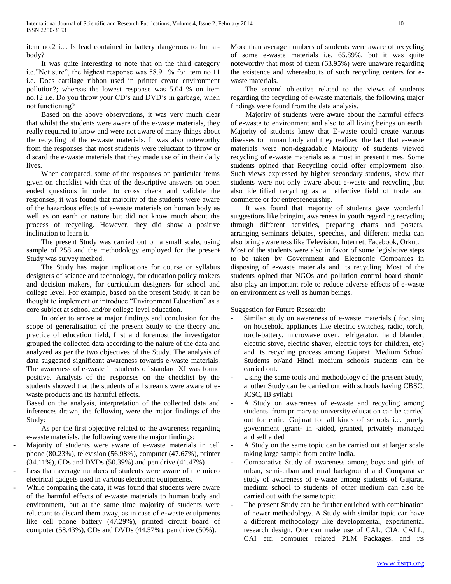item no.2 i.e. Is lead contained in battery dangerous to human body?

 It was quite interesting to note that on the third category i.e."Not sure", the highest response was 58.91 % for item no.11 i.e. Does cartilage ribbon used in printer create environment pollution?; whereas the lowest response was 5.04 % on item no.12 i.e. Do you throw your CD's and DVD's in garbage, when not functioning?

 Based on the above observations, it was very much clear that whilst the students were aware of the e-waste materials, they really required to know and were not aware of many things about the recycling of the e-waste materials. It was also noteworthy from the responses that most students were reluctant to throw or discard the e-waste materials that they made use of in their daily lives.

 When compared, some of the responses on particular items given on checklist with that of the descriptive answers on open ended questions in order to cross check and validate the responses; it was found that majority of the students were aware of the hazardous effects of e-waste materials on human body as well as on earth or nature but did not know much about the process of recycling. However, they did show a positive inclination to learn it.

 The present Study was carried out on a small scale, using sample of 258 and the methodology employed for the present Study was survey method.

 The Study has major implications for course or syllabus designers of science and technology, for education policy makers and decision makers, for curriculum designers for school and college level. For example, based on the present Study, it can be thought to implement or introduce "Environment Education" as a core subject at school and/or college level education.

 In order to arrive at major findings and conclusion for the scope of generalisation of the present Study to the theory and practice of education field, first and foremost the investigator grouped the collected data according to the nature of the data and analyzed as per the two objectives of the Study. The analysis of data suggested significant awareness towards e-waste materials. The awareness of e-waste in students of standard XI was found positive. Analysis of the responses on the checklist by the students showed that the students of all streams were aware of ewaste products and its harmful effects.

Based on the analysis, interpretation of the collected data and inferences drawn, the following were the major findings of the Study:

 As per the first objective related to the awareness regarding e-waste materials, the following were the major findings:

- Majority of students were aware of e-waste materials in cell phone (80.23%), television (56.98%), computer (47.67%), printer (34.11%), CDs and DVDs (50.39%) and pen drive (41.47%)
- Less than average numbers of students were aware of the micro electrical gadgets used in various electronic equipments.
- While comparing the data, it was found that students were aware of the harmful effects of e-waste materials to human body and environment, but at the same time majority of students were reluctant to discard them away, as in case of e-waste equipments like cell phone battery (47.29%), printed circuit board of computer (58.43%), CDs and DVDs (44.57%), pen drive (50%).

More than average numbers of students were aware of recycling of some e-waste materials i.e. 65.89%, but it was quite noteworthy that most of them (63.95%) were unaware regarding the existence and whereabouts of such recycling centers for ewaste materials.

 The second objective related to the views of students regarding the recycling of e-waste materials, the following major findings were found from the data analysis.

Majority of students were aware about the harmful effects of e-waste to environment and also to all living beings on earth. Majority of students knew that E-waste could create various diseases to human body and they realized the fact that e-waste materials were non-degradable Majority of students viewed recycling of e-waste materials as a must in present times. Some students opined that Recycling could offer employment also. Such views expressed by higher secondary students, show that students were not only aware about e-waste and recycling ,but also identified recycling as an effective field of trade and commerce or for entrepreneurship.

It was found that majority of students gave wonderful suggestions like bringing awareness in youth regarding recycling through different activities, preparing charts and posters, arranging seminars debates, speeches, and different media can also bring awareness like Television, Internet, Facebook, Orkut. Most of the students were also in favor of some legislative steps to be taken by Government and Electronic Companies in disposing of e-waste materials and its recycling. Most of the students opined that NGOs and pollution control board should also play an important role to reduce adverse effects of e-waste on environment as well as human beings.

Suggestion for Future Research:

- Similar study on awareness of e-waste materials (focusing on household appliances like electric switches, radio, torch, torch-battery, microwave oven, refrigerator, hand blander, electric stove, electric shaver, electric toys for children, etc) and its recycling process among Gujarati Medium School Students or/and Hindi medium schools students can be carried out.
- Using the same tools and methodology of the present Study, another Study can be carried out with schools having CBSC, ICSC, IB syllabi
- A Study on awareness of e-waste and recycling among students from primary to university education can be carried out for entire Gujarat for all kinds of schools i.e. purely government ,grant- in -aided, granted, privately managed and self aided
- A Study on the same topic can be carried out at larger scale taking large sample from entire India.
- Comparative Study of awareness among boys and girls of urban, semi-urban and rural background and Comparative study of awareness of e-waste among students of Gujarati medium school to students of other medium can also be carried out with the same topic.
- The present Study can be further enriched with combination of newer methodology. A Study with similar topic can have a different methodology like developmental, experimental research design. One can make use of CAL, CIA, CALL, CAI etc. computer related PLM Packages, and its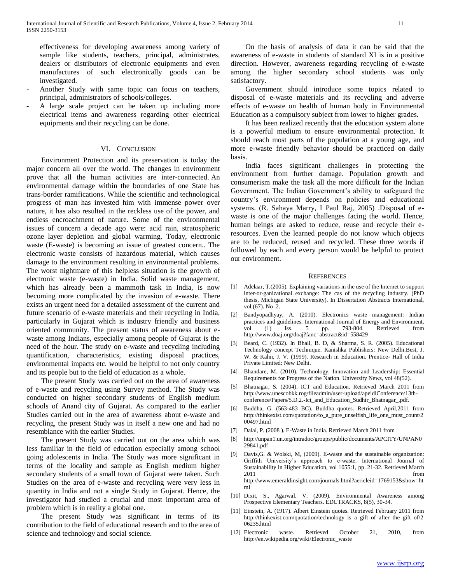effectiveness for developing awareness among variety of sample like students, teachers, principal, administrates, dealers or distributors of electronic equipments and even manufactures of such electronically goods can be investigated.

- Another Study with same topic can focus on teachers, principal, administrators of schools/colleges.
- A large scale project can be taken up including more electrical items and awareness regarding other electrical equipments and their recycling can be done.

# VI. CONCLUSION

 Environment Protection and its preservation is today the major concern all over the world. The changes in environment prove that all the human activities are inter-connected. An environmental damage within the boundaries of one State has trans-border ramifications. While the scientific and technological progress of man has invested him with immense power over nature, it has also resulted in the reckless use of the power, and endless encroachment of nature. Some of the environmental issues of concern a decade ago were: acid rain, stratospheric ozone layer depletion and global warming. Today, electronic waste (E-waste) is becoming an issue of greatest concern.. The electronic waste consists of hazardous material, which causes damage to the environment resulting in environmental problems. The worst nightmare of this helpless situation is the growth of electronic waste (e-waste) in India. Solid waste management, which has already been a mammoth task in India, is now becoming more complicated by the invasion of e-waste. There exists an urgent need for a detailed assessment of the current and future scenario of e-waste materials and their recycling in India, particularly in Gujarat which is industry friendly and business oriented community. The present status of awareness about ewaste among Indians, especially among people of Gujarat is the need of the hour. The study on e-waste and recycling including quantification, characteristics, existing disposal practices, environmental impacts etc. would be helpful to not only country and its people but to the field of education as a whole.

 The present Study was carried out on the area of awareness of e-waste and recycling using Survey method. The Study was conducted on higher secondary students of English medium schools of Anand city of Gujarat. As compared to the earlier Studies carried out in the area of awareness about e-waste and recycling, the present Study was in itself a new one and had no resemblance with the earlier Studies.

 The present Study was carried out on the area which was less familiar in the field of education especially among school going adolescents in India. The Study was more significant in terms of the locality and sample as English medium higher secondary students of a small town of Gujarat were taken. Such Studies on the area of e-waste and recycling were very less in quantity in India and not a single Study in Gujarat. Hence, the investigator had studied a crucial and most important area of problem which is in reality a global one.

 The present Study was significant in terms of its contribution to the field of educational research and to the area of science and technology and social science.

 On the basis of analysis of data it can be said that the awareness of e-waste in students of standard XI is in a positive direction. However, awareness regarding recycling of e-waste among the higher secondary school students was only satisfactory.

 Government should introduce some topics related to disposal of e-waste materials and its recycling and adverse effects of e-waste on health of human body in Environmental Education as a compulsory subject from lower to higher grades.

 It has been realized recently that the education system alone is a powerful medium to ensure environmental protection. It should reach most parts of the population at a young age, and more e-waste friendly behavior should be practiced on daily basis.

 India faces significant challenges in protecting the environment from further damage. Population growth and consumerism make the task all the more difficult for the Indian Government. The Indian Government's ability to safeguard the country's environment depends on policies and educational systems. (R. Sahaya Marry, I Paul Raj, 2005) .Disposal of ewaste is one of the major challenges facing the world. Hence, human beings are asked to reduce, reuse and recycle their eresources. Even the learned people do not know which objects are to be reduced, reused and recycled. These three words if followed by each and every person would be helpful to protect our environment.

#### **REFERENCES**

- [1] Adelaar, T.(2005). Explaining variations in the use of the Internet to support inter-or-ganizational exchange: The cas of the recycling industry. (PhD thesis, Michigan State University). In Dissertation Abstracts International, vol.(67). No .2.
- [2] Bandyopadhyay, A. (2010). Electronics waste management: Indian practices and guidelines. International Journal of Energy and Environment, vol (1) Iss. 5 pp. 793-804. Retrieved from http://www.doaj.org/doaj?fanc=abstract&id=558429
- [3] Beard, C. (1932). In Bhall, B. D, & Sharma, S. R. (2005). Educational Technology concept Technique. Kanishka Publishers: New Delhi.Best, J. W. & Kahn, J. V. (1999). Research in Education. Prentice- Hall of India Private Limited: New Delhi.
- [4] Bhandare, M. (2010). Technology, Innovation and Leadership: Essential Requirements for Progress of the Nation. University News, vol 48(52).
- [5] Bhatnagar, S. (2004). ICT and Education. Retrieved March 2011 from http://www.unescobkk.rog/fileadmin/user-upload/apeidlConference/13thconference/Papers/5.D.2.-Ict\_and\_Education\_Sudhir\_Bhatnagar\_.pdf.
- [6] Buddha, G. (563-483 BC). Buddha quotes. Retrieved April,2011 from http://thinkexist.com/quotation/to\_a\_pure\_unselfish\_life\_one\_must\_count/2 00497.html
- [7] Dalal, P. (2008 ). E-Waste in India. Retrieved March 2011 from
- [8] http://unpan1.un.org/intradoc/groups/public/documents/APCITY/UNPAN0 29841.pdf
- [9] Davis,G. & Wolski, M, (2009). E-waste and the sustainable organization: Griffith University's approach to e-waste. International Journal of Sustainability in Higher Education, vol 1055:1, pp. 21-32. Retrieved March 2011 from http://www.emeraldinsight.com/journals.html?aericleid=1769153&show=ht ml
- [10] Dixit, S., Agarwal. V. (2009). Environmental Awareness among Prospective Elementary Teachers. EDUTRACKS, 8(5), 30-34.
- [11] Einstein, A. (1917). Albert Einstein quotes. Retrieved February 2011 from http://thinkexist.com/quotation/technology\_is\_a\_gift\_of\_after\_the\_gift\_of/2 06235.html
- [12] Electronic waste. Retrieved October 21, 2010, from http://en.wikipedia.org/wiki/Electronic\_waste